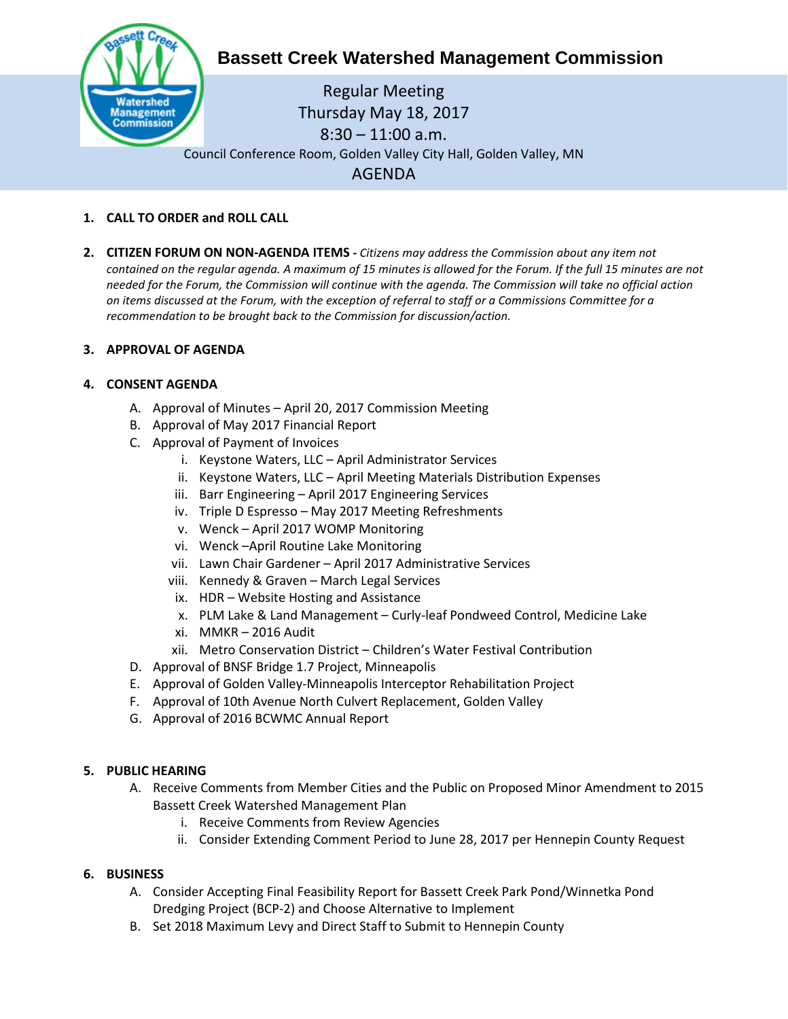

# **Bassett Creek Watershed Management Commission**

Regular Meeting Thursday May 18, 2017 8:30 – 11:00 a.m. Council Conference Room, Golden Valley City Hall, Golden Valley, MN AGENDA

# **1. CALL TO ORDER and ROLL CALL**

**2. CITIZEN FORUM ON NON-AGENDA ITEMS -** *Citizens may address the Commission about any item not contained on the regular agenda. A maximum of 15 minutes is allowed for the Forum. If the full 15 minutes are not needed for the Forum, the Commission will continue with the agenda. The Commission will take no official action on items discussed at the Forum, with the exception of referral to staff or a Commissions Committee for a recommendation to be brought back to the Commission for discussion/action.*

# **3. APPROVAL OF AGENDA**

# **4. CONSENT AGENDA**

- A. Approval of Minutes April 20, 2017 Commission Meeting
- B. Approval of May 2017 Financial Report
- C. Approval of Payment of Invoices
	- i. Keystone Waters, LLC April Administrator Services
	- ii. Keystone Waters, LLC April Meeting Materials Distribution Expenses
	- iii. Barr Engineering April 2017 Engineering Services
	- iv. Triple D Espresso May 2017 Meeting Refreshments
	- v. Wenck April 2017 WOMP Monitoring
	- vi. Wenck –April Routine Lake Monitoring
	- vii. Lawn Chair Gardener April 2017 Administrative Services
	- viii. Kennedy & Graven March Legal Services
	- ix. HDR Website Hosting and Assistance
	- x. PLM Lake & Land Management Curly-leaf Pondweed Control, Medicine Lake
	- xi. MMKR 2016 Audit
	- xii. Metro Conservation District Children's Water Festival Contribution
- D. Approval of BNSF Bridge 1.7 Project, Minneapolis
- E. Approval of Golden Valley-Minneapolis Interceptor Rehabilitation Project
- F. Approval of 10th Avenue North Culvert Replacement, Golden Valley
- G. Approval of 2016 BCWMC Annual Report

## **5. PUBLIC HEARING**

- A. Receive Comments from Member Cities and the Public on Proposed Minor Amendment to 2015 Bassett Creek Watershed Management Plan
	- i. Receive Comments from Review Agencies
	- ii. Consider Extending Comment Period to June 28, 2017 per Hennepin County Request

## **6. BUSINESS**

- A. Consider Accepting Final Feasibility Report for Bassett Creek Park Pond/Winnetka Pond Dredging Project (BCP-2) and Choose Alternative to Implement
- B. Set 2018 Maximum Levy and Direct Staff to Submit to Hennepin County